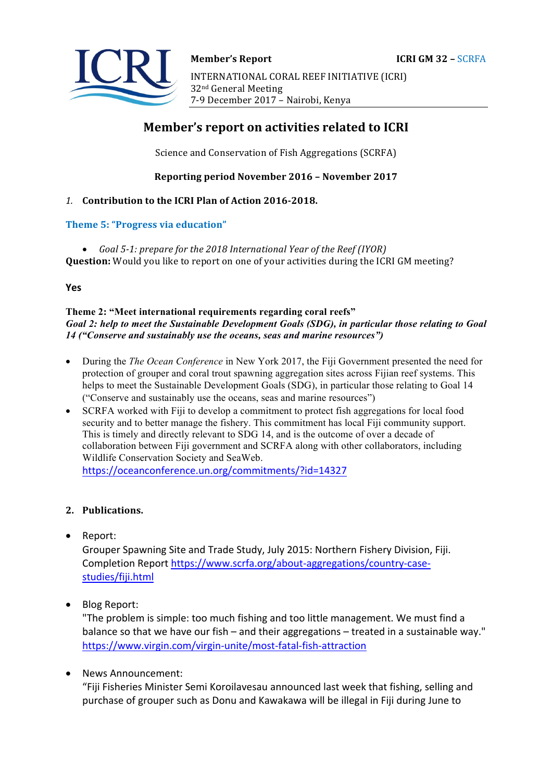

# **Member's report on activities related to ICRI**

Science and Conservation of Fish Aggregations (SCRFA)

### **Reporting period November 2016 – November 2017**

### 1. **Contribution to the ICRI Plan of Action 2016-2018.**

### **Theme 5: "Progress via education"**

• *Goal 5-1: prepare for the 2018 International Year of the Reef (IYOR)* **Question:** Would you like to report on one of your activities during the ICRI GM meeting?

**Yes**

#### **Theme 2: "Meet international requirements regarding coral reefs"**  *Goal 2: help to meet the Sustainable Development Goals (SDG), in particular those relating to Goal 14 ("Conserve and sustainably use the oceans, seas and marine resources")*

- During the *The Ocean Conference* in New York 2017, the Fiji Government presented the need for protection of grouper and coral trout spawning aggregation sites across Fijian reef systems. This helps to meet the Sustainable Development Goals (SDG), in particular those relating to Goal 14 ("Conserve and sustainably use the oceans, seas and marine resources")
- SCRFA worked with Fiji to develop a commitment to protect fish aggregations for local food security and to better manage the fishery. This commitment has local Fiji community support. This is timely and directly relevant to SDG 14, and is the outcome of over a decade of collaboration between Fiji government and SCRFA along with other collaborators, including Wildlife Conservation Society and SeaWeb.

https://oceanconference.un.org/commitments/?id=14327

# **2. Publications.**

• Report: 

Grouper Spawning Site and Trade Study, July 2015: Northern Fishery Division, Fiji. Completion Report https://www.scrfa.org/about-aggregations/country-casestudies/fiji.html

• Blog Report:

"The problem is simple: too much fishing and too little management. We must find a balance so that we have our fish – and their aggregations – treated in a sustainable way." https://www.virgin.com/virgin-unite/most-fatal-fish-attraction

News Announcement:

"Fiji Fisheries Minister Semi Koroilavesau announced last week that fishing, selling and purchase of grouper such as Donu and Kawakawa will be illegal in Fiji during June to